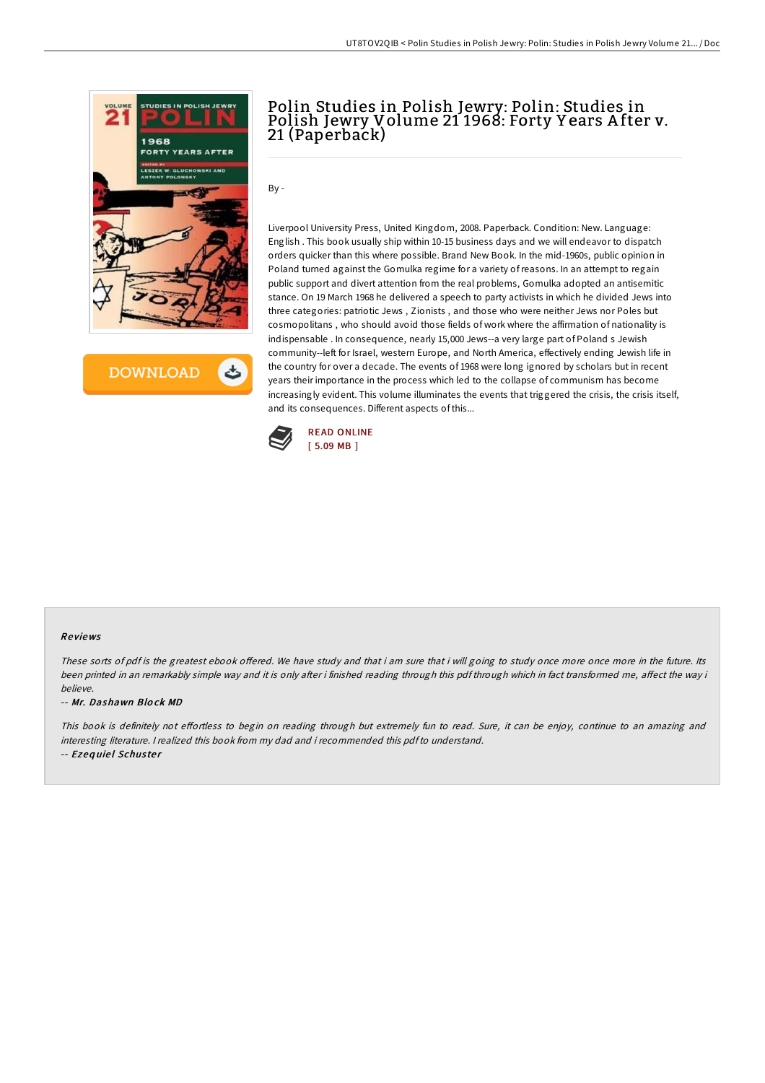

**DOWNLOAD** ٹ

# Polin Studies in Polish Jewry: Polin: Studies in Polish Jewry Volume 21 1968: Forty Y ears A fter v. 21 (Paperback)

By -

Liverpool University Press, United Kingdom, 2008. Paperback. Condition: New. Language: English . This book usually ship within 10-15 business days and we will endeavor to dispatch orders quicker than this where possible. Brand New Book. In the mid-1960s, public opinion in Poland turned against the Gomulka regime for a variety ofreasons. In an attempt to regain public support and divert attention from the real problems, Gomulka adopted an antisemitic stance. On 19 March 1968 he delivered a speech to party activists in which he divided Jews into three categories: patriotic Jews , Zionists , and those who were neither Jews nor Poles but cosmopolitans , who should avoid those fields of work where the affirmation of nationality is indispensable . In consequence, nearly 15,000 Jews--a very large part of Poland s Jewish community--left for Israel, western Europe, and North America, effectively ending Jewish life in the country for over a decade. The events of 1968 were long ignored by scholars but in recent years their importance in the process which led to the collapse of communism has become increasingly evident. This volume illuminates the events that triggered the crisis, the crisis itself, and its consequences. Different aspects of this...



#### Re views

These sorts of pdf is the greatest ebook offered. We have study and that i am sure that i will going to study once more once more in the future. Its been printed in an remarkably simple way and it is only after i finished reading through this pdf through which in fact transformed me, affect the way i believe.

-- Mr. Dashawn Blo ck MD

This book is definitely not effortless to begin on reading through but extremely fun to read. Sure, it can be enjoy, continue to an amazing and interesting literature. <sup>I</sup> realized this book from my dad and i recommended this pdfto understand.

-- Ezequiel Schuster